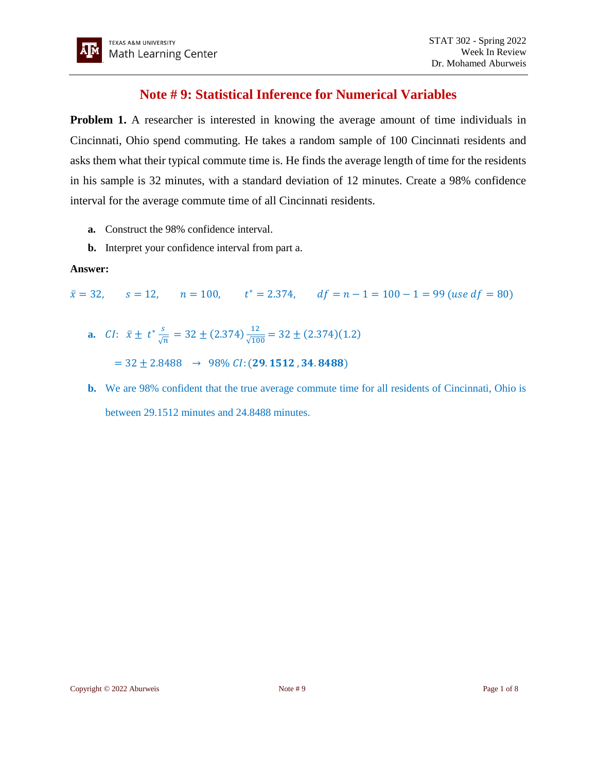# **Note # 9: Statistical Inference for Numerical Variables**

**Problem 1.** A researcher is interested in knowing the average amount of time individuals in Cincinnati, Ohio spend commuting. He takes a random sample of 100 Cincinnati residents and asks them what their typical commute time is. He finds the average length of time for the residents in his sample is 32 minutes, with a standard deviation of 12 minutes. Create a 98% confidence interval for the average commute time of all Cincinnati residents.

- **a.** Construct the 98% confidence interval.
- **b.** Interpret your confidence interval from part a.

# **Answer:**

 $\bar{x} = 32$ ,  $s = 12$ ,  $n = 100$ ,  $t^* = 2.374$ ,  $df = n - 1 = 100 - 1 = 99$  (use  $df = 80$ )

- **a.** *CI*:  $\bar{x} \pm t^* \frac{s}{c}$  $\frac{s}{\sqrt{n}} = 32 \pm (2.374) \frac{12}{\sqrt{10}}$  $\frac{12}{\sqrt{100}}$  = 32 ± (2.374)(1.2)  $= 32 \pm 2.8488 \rightarrow 98\% CI$ : (29.1512, 34.8488)
- **b.** We are 98% confident that the true average commute time for all residents of Cincinnati, Ohio is between 29.1512 minutes and 24.8488 minutes.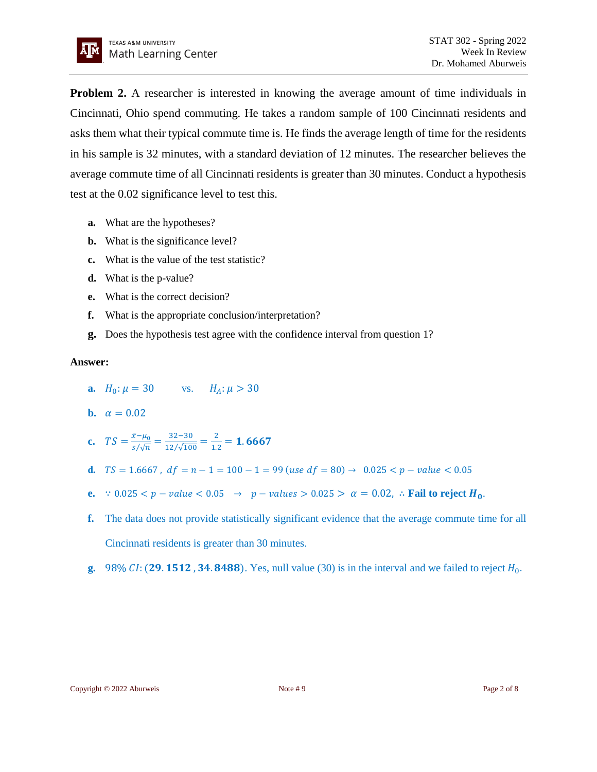**Problem 2.** A researcher is interested in knowing the average amount of time individuals in Cincinnati, Ohio spend commuting. He takes a random sample of 100 Cincinnati residents and asks them what their typical commute time is. He finds the average length of time for the residents in his sample is 32 minutes, with a standard deviation of 12 minutes. The researcher believes the average commute time of all Cincinnati residents is greater than 30 minutes. Conduct a hypothesis test at the 0.02 significance level to test this.

- **a.** What are the hypotheses?
- **b.** What is the significance level?
- **c.** What is the value of the test statistic?
- **d.** What is the p-value?
- **e.** What is the correct decision?
- **f.** What is the appropriate conclusion/interpretation?
- **g.** Does the hypothesis test agree with the confidence interval from question 1?

# **Answer:**

- **a.**  $H_0: \mu = 30$  vs.  $H_A: \mu > 30$
- **b.**  $\alpha = 0.02$
- **c.**  $TS = \frac{\bar{x} \mu_0}{\sigma_0 / \sqrt{n}}$  $\frac{\bar{x}-\mu_0}{s/\sqrt{n}} = \frac{32-30}{12/\sqrt{10}}$  $\frac{32-30}{12/\sqrt{100}} = \frac{2}{1.5}$  $\frac{2}{1.2}$  = 1.6667
- **d.**  $TS = 1.6667$ ,  $df = n 1 = 100 1 = 99$  (use  $df = 80$ )  $\rightarrow 0.025 < p value < 0.05$
- **e.** ∵ 0.025 < *p* − *value* < 0.05 → *p* − *values* > 0.025 >  $\alpha = 0.02$ , ∴ **Fail to reject**  $H_0$ .
- **f.** The data does not provide statistically significant evidence that the average commute time for all Cincinnati residents is greater than 30 minutes.
- **g.** 98%  $CI: (29.1512, 34.8488)$ . Yes, null value (30) is in the interval and we failed to reject  $H_0$ .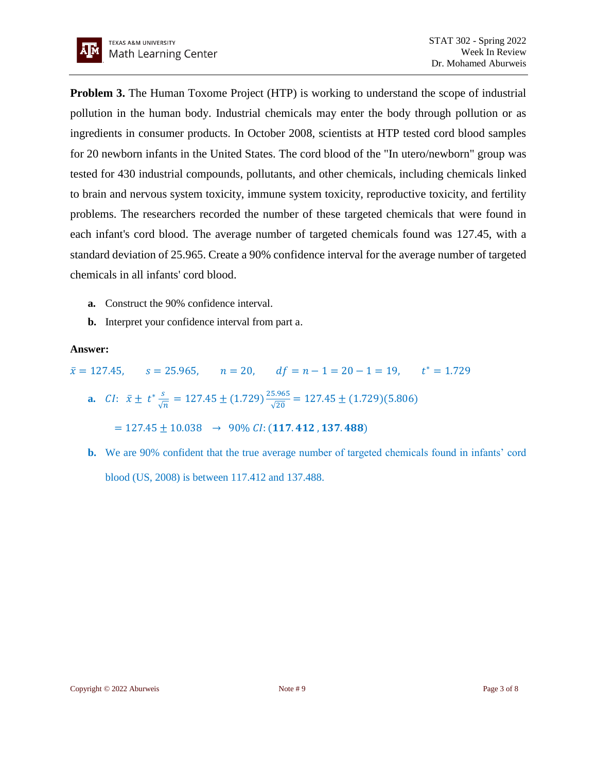**Problem 3.** The Human Toxome Project (HTP) is working to understand the scope of industrial pollution in the human body. Industrial chemicals may enter the body through pollution or as ingredients in consumer products. In October 2008, scientists at HTP tested cord blood samples for 20 newborn infants in the United States. The cord blood of the "In utero/newborn" group was tested for 430 industrial compounds, pollutants, and other chemicals, including chemicals linked to brain and nervous system toxicity, immune system toxicity, reproductive toxicity, and fertility problems. The researchers recorded the number of these targeted chemicals that were found in each infant's cord blood. The average number of targeted chemicals found was 127.45, with a standard deviation of 25.965. Create a 90% confidence interval for the average number of targeted chemicals in all infants' cord blood.

- **a.** Construct the 90% confidence interval.
- **b.** Interpret your confidence interval from part a.

# **Answer:**

 $\bar{x} = 127.45$ ,  $s = 25.965$ ,  $n = 20$ ,  $df = n - 1 = 20 - 1 = 19$ ,  $t^* = 1.729$ 

**a.** *CI*:  $\bar{x} \pm t^* \frac{s}{\sqrt{s}}$  $\frac{s}{\sqrt{n}} = 127.45 \pm (1.729) \frac{25.965}{\sqrt{20}}$  $\frac{3.963}{\sqrt{20}}$  = 127.45  $\pm$  (1.729)(5.806)

$$
= 127.45 \pm 10.038 \rightarrow 90\% CI: (117.412, 137.488)
$$

**b.** We are 90% confident that the true average number of targeted chemicals found in infants' cord blood (US, 2008) is between 117.412 and 137.488.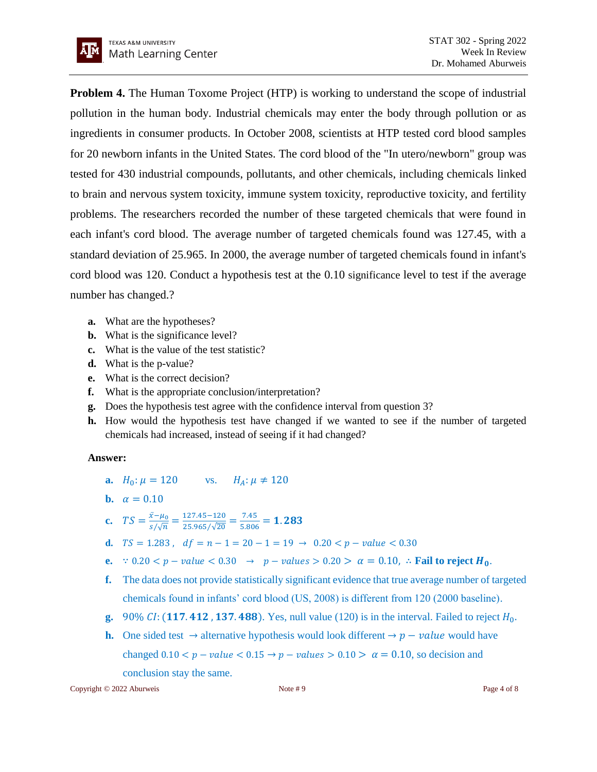**Problem 4.** The Human Toxome Project (HTP) is working to understand the scope of industrial pollution in the human body. Industrial chemicals may enter the body through pollution or as ingredients in consumer products. In October 2008, scientists at HTP tested cord blood samples for 20 newborn infants in the United States. The cord blood of the "In utero/newborn" group was tested for 430 industrial compounds, pollutants, and other chemicals, including chemicals linked to brain and nervous system toxicity, immune system toxicity, reproductive toxicity, and fertility problems. The researchers recorded the number of these targeted chemicals that were found in each infant's cord blood. The average number of targeted chemicals found was 127.45, with a standard deviation of 25.965. In 2000, the average number of targeted chemicals found in infant's cord blood was 120. Conduct a hypothesis test at the 0.10 significance level to test if the average number has changed.?

- **a.** What are the hypotheses?
- **b.** What is the significance level?
- **c.** What is the value of the test statistic?
- **d.** What is the p-value?
- **e.** What is the correct decision?
- **f.** What is the appropriate conclusion/interpretation?
- **g.** Does the hypothesis test agree with the confidence interval from question 3?
- **h.** How would the hypothesis test have changed if we wanted to see if the number of targeted chemicals had increased, instead of seeing if it had changed?

# **Answer:**

**a.**  $H_0: \mu = 120$  vs.  $H_A: \mu \neq 120$ 

**b.**  $\alpha = 0.10$ 

c. 
$$
TS = \frac{\bar{x} - \mu_0}{s / \sqrt{n}} = \frac{127.45 - 120}{25.965 / \sqrt{20}} = \frac{7.45}{5.806} = 1.283
$$

- **d.**  $TS = 1.283$ ,  $df = n 1 = 20 1 = 19 \rightarrow 0.20 < p value < 0.30$
- **e.** ∵ 0.20 < *p* − *value* < 0.30 → *p* − *values* > 0.20 >  $\alpha = 0.10$ , ∴ **Fail to reject**  $H_0$ .
- **f.** The data does not provide statistically significant evidence that true average number of targeted chemicals found in infants' cord blood (US, 2008) is different from 120 (2000 baseline).
- **g.** 90%  $CI: (117.412, 137.488)$ . Yes, null value (120) is in the interval. Failed to reject  $H_0$ .
- **h.** One sided test  $\rightarrow$  alternative hypothesis would look different  $\rightarrow p value$  would have changed  $0.10 < p - value < 0.15 \rightarrow p - values > 0.10 > \alpha = 0.10$ , so decision and conclusion stay the same.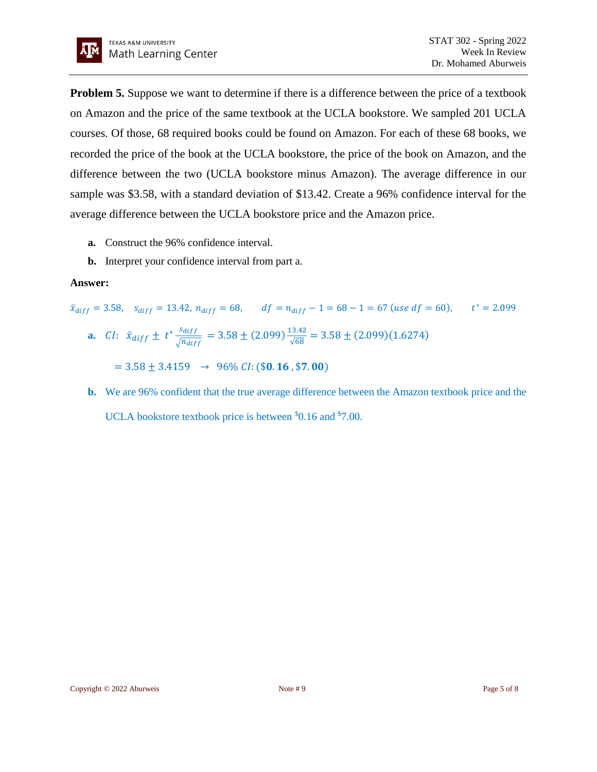

**Problem 5.** Suppose we want to determine if there is a difference between the price of a textbook on Amazon and the price of the same textbook at the UCLA bookstore. We sampled 201 UCLA courses. Of those, 68 required books could be found on Amazon. For each of these 68 books, we recorded the price of the book at the UCLA bookstore, the price of the book on Amazon, and the difference between the two (UCLA bookstore minus Amazon). The average difference in our sample was \$3.58, with a standard deviation of \$13.42. Create a 96% confidence interval for the average difference between the UCLA bookstore price and the Amazon price.

- **a.** Construct the 96% confidence interval.
- **b.** Interpret your confidence interval from part a.

# **Answer:**

 $\bar{x}_{diff} = 3.58$ ,  $s_{diff} = 13.42$ ,  $n_{diff} = 68$ ,  $df = n_{diff} - 1 = 68 - 1 = 67$  (use  $df = 60$ ),  $t^* = 2.099$ 

**a.** CI:  $\bar{x}_{diff} \pm t^* \frac{S_{diff}}{m_{H}}$  $\frac{S_{diff}}{\sqrt{n_{diff}}}$  = 3.58 ± (2.099) $\frac{13.42}{\sqrt{68}}$  $\frac{13.42}{\sqrt{68}}$  = 3.58 ± (2.099)(1.6274)

 $= 3.58 \pm 3.4159$   $\rightarrow$  96% CI: (\$0.16, \$7.00)

**b.** We are 96% confident that the true average difference between the Amazon textbook price and the UCLA bookstore textbook price is between \$0.16 and \$7.00.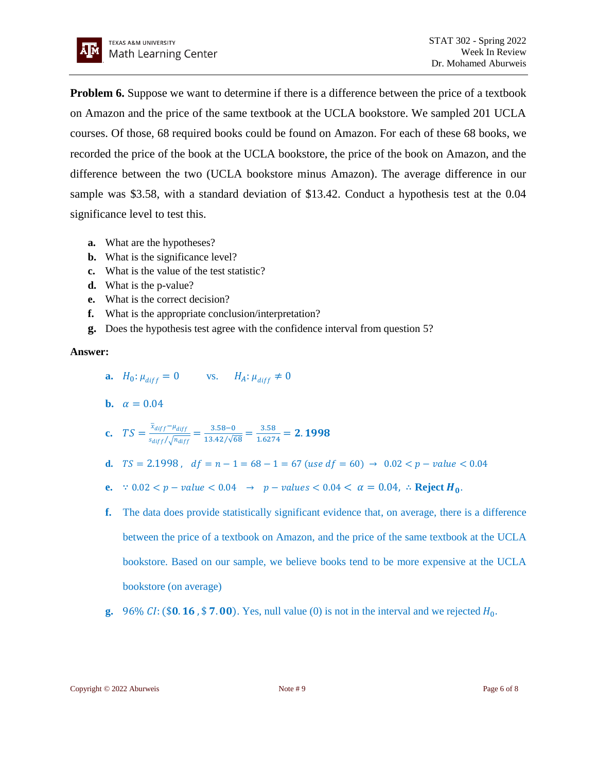

**Problem 6.** Suppose we want to determine if there is a difference between the price of a textbook on Amazon and the price of the same textbook at the UCLA bookstore. We sampled 201 UCLA courses. Of those, 68 required books could be found on Amazon. For each of these 68 books, we recorded the price of the book at the UCLA bookstore, the price of the book on Amazon, and the difference between the two (UCLA bookstore minus Amazon). The average difference in our sample was \$3.58, with a standard deviation of \$13.42. Conduct a hypothesis test at the 0.04 significance level to test this.

- **a.** What are the hypotheses?
- **b.** What is the significance level?
- **c.** What is the value of the test statistic?
- **d.** What is the p-value?
- **e.** What is the correct decision?
- **f.** What is the appropriate conclusion/interpretation?
- **g.** Does the hypothesis test agree with the confidence interval from question 5?

#### **Answer:**

- **a.**  $H_0: \mu_{diff} = 0$  vs.  $H_A: \mu_{diff} \neq 0$
- **b.**  $\alpha = 0.04$

**c.** 
$$
TS = {\frac{\bar{x}_{diff} - \mu_{diff}}{s_{diff} / \sqrt{n_{diff}}} = {\frac{3.58 - 0}{13.42 / \sqrt{68}}} = {\frac{3.58}{1.6274}} = 2.1998
$$

- **d.**  $TS = 2.1998$ ,  $df = n 1 = 68 1 = 67$  (use  $df = 60$ )  $\rightarrow 0.02 < p value < 0.04$
- **e.** ∵ 0.02 <  $p value$  < 0.04 →  $p values$  < 0.04 <  $\alpha = 0.04$ , ∴ **Reject**  $H_0$ .
- **f.** The data does provide statistically significant evidence that, on average, there is a difference between the price of a textbook on Amazon, and the price of the same textbook at the UCLA bookstore. Based on our sample, we believe books tend to be more expensive at the UCLA bookstore (on average)
- **g.** 96%  $CI: (\$0.16, \$7.00)$ . Yes, null value (0) is not in the interval and we rejected  $H_0$ .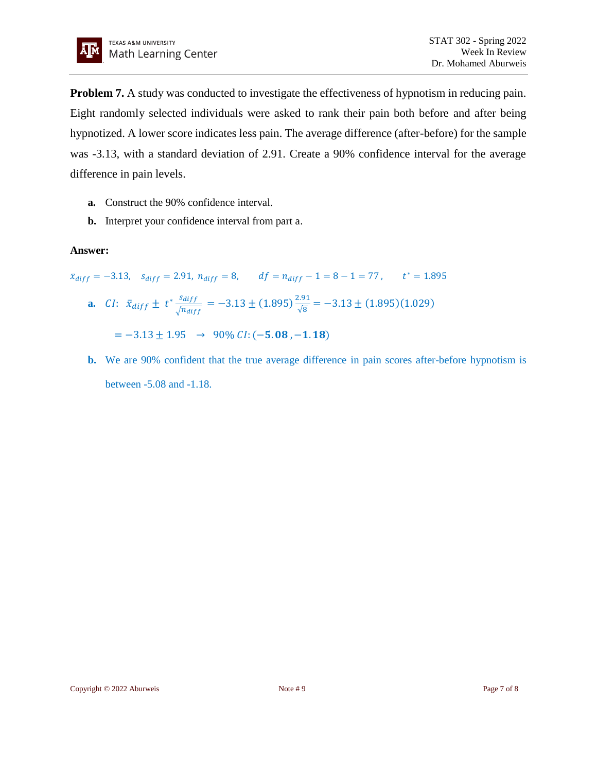**Problem 7.** A study was conducted to investigate the effectiveness of hypnotism in reducing pain. Eight randomly selected individuals were asked to rank their pain both before and after being hypnotized. A lower score indicates less pain. The average difference (after-before) for the sample was -3.13, with a standard deviation of 2.91. Create a 90% confidence interval for the average difference in pain levels.

- **a.** Construct the 90% confidence interval.
- **b.** Interpret your confidence interval from part a.

# **Answer:**

$$
\bar{x}_{diff} = -3.13, \quad s_{diff} = 2.91, \ n_{diff} = 8, \qquad df = n_{diff} - 1 = 8 - 1 = 77, \qquad t^* = 1.895
$$

**a.** *CI*: 
$$
\bar{x}_{diff} \pm t^* \frac{s_{diff}}{\sqrt{n_{diff}}} = -3.13 \pm (1.895) \frac{2.91}{\sqrt{8}} = -3.13 \pm (1.895)(1.029)
$$

 $= -3.13 \pm 1.95 \rightarrow 90\% CI: (-5.08, -1.18)$ 

**b.** We are 90% confident that the true average difference in pain scores after-before hypnotism is between -5.08 and -1.18.